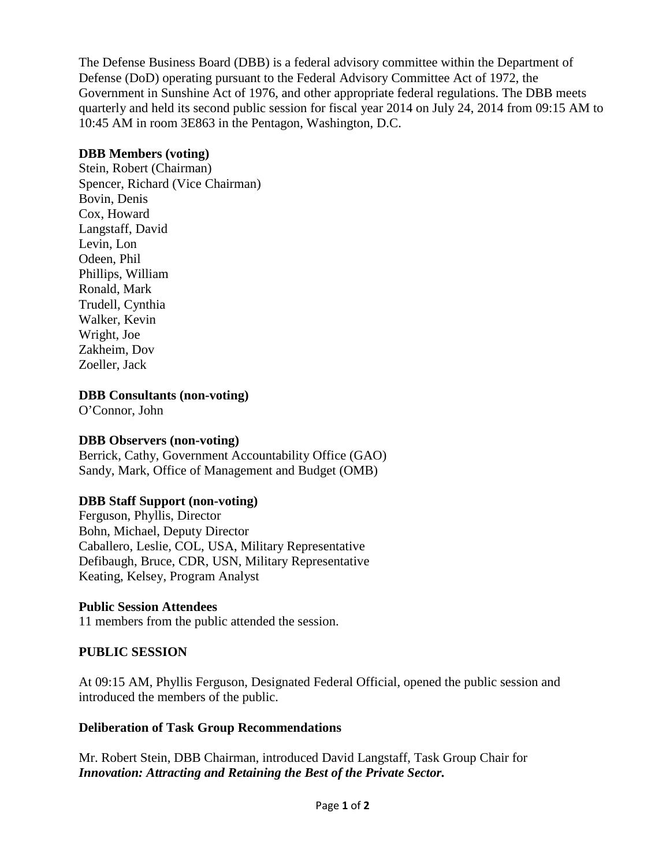The Defense Business Board (DBB) is a federal advisory committee within the Department of Defense (DoD) operating pursuant to the Federal Advisory Committee Act of 1972, the Government in Sunshine Act of 1976, and other appropriate federal regulations. The DBB meets quarterly and held its second public session for fiscal year 2014 on July 24, 2014 from 09:15 AM to 10:45 AM in room 3E863 in the Pentagon, Washington, D.C.

## **DBB Members (voting)**

Stein, Robert (Chairman) Spencer, Richard (Vice Chairman) Bovin, Denis Cox, Howard Langstaff, David Levin, Lon Odeen, Phil Phillips, William Ronald, Mark Trudell, Cynthia Walker, Kevin Wright, Joe Zakheim, Dov Zoeller, Jack

**DBB Consultants (non-voting)**

O'Connor, John

# **DBB Observers (non-voting)**

Berrick, Cathy, Government Accountability Office (GAO) Sandy, Mark, Office of Management and Budget (OMB)

# **DBB Staff Support (non-voting)**

Ferguson, Phyllis, Director Bohn, Michael, Deputy Director Caballero, Leslie, COL, USA, Military Representative Defibaugh, Bruce, CDR, USN, Military Representative Keating, Kelsey, Program Analyst

# **Public Session Attendees**

11 members from the public attended the session.

# **PUBLIC SESSION**

At 09:15 AM, Phyllis Ferguson, Designated Federal Official, opened the public session and introduced the members of the public.

# **Deliberation of Task Group Recommendations**

Mr. Robert Stein, DBB Chairman, introduced David Langstaff, Task Group Chair for *Innovation: Attracting and Retaining the Best of the Private Sector.*